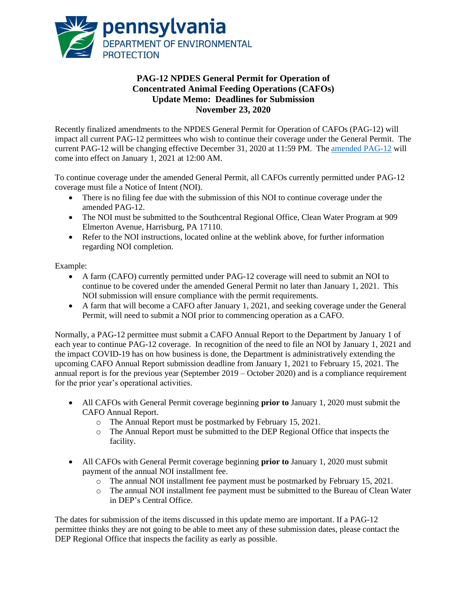

## **PAG-12 NPDES General Permit for Operation of Concentrated Animal Feeding Operations (CAFOs) Update Memo: Deadlines for Submission November 23, 2020**

Recently finalized amendments to the NPDES General Permit for Operation of CAFOs (PAG-12) will impact all current PAG-12 permittees who wish to continue their coverage under the General Permit. The current PAG-12 will be changing effective December 31, 2020 at 11:59 PM. The [amended PAG-12](http://www.depgreenport.state.pa.us/elibrary/GetFolder?FolderID=184351) will come into effect on January 1, 2021 at 12:00 AM.

To continue coverage under the amended General Permit, all CAFOs currently permitted under PAG-12 coverage must file a Notice of Intent (NOI).

- There is no filing fee due with the submission of this NOI to continue coverage under the amended PAG-12.
- The NOI must be submitted to the Southcentral Regional Office, Clean Water Program at 909 Elmerton Avenue, Harrisburg, PA 17110.
- Refer to the NOI instructions, located online at the weblink above, for further information regarding NOI completion.

## Example:

- A farm (CAFO) currently permitted under PAG-12 coverage will need to submit an NOI to continue to be covered under the amended General Permit no later than January 1, 2021. This NOI submission will ensure compliance with the permit requirements.
- A farm that will become a CAFO after January 1, 2021, and seeking coverage under the General Permit, will need to submit a NOI prior to commencing operation as a CAFO.

Normally, a PAG-12 permittee must submit a CAFO Annual Report to the Department by January 1 of each year to continue PAG-12 coverage. In recognition of the need to file an NOI by January 1, 2021 and the impact COVID-19 has on how business is done, the Department is administratively extending the upcoming CAFO Annual Report submission deadline from January 1, 2021 to February 15, 2021. The annual report is for the previous year (September 2019 – October 2020) and is a compliance requirement for the prior year's operational activities.

- All CAFOs with General Permit coverage beginning **prior to** January 1, 2020 must submit the CAFO Annual Report.
	- o The Annual Report must be postmarked by February 15, 2021.
	- o The Annual Report must be submitted to the DEP Regional Office that inspects the facility.
- All CAFOs with General Permit coverage beginning **prior to** January 1, 2020 must submit payment of the annual NOI installment fee.
	- o The annual NOI installment fee payment must be postmarked by February 15, 2021.
	- o The annual NOI installment fee payment must be submitted to the Bureau of Clean Water in DEP's Central Office.

The dates for submission of the items discussed in this update memo are important. If a PAG-12 permittee thinks they are not going to be able to meet any of these submission dates, please contact the DEP Regional Office that inspects the facility as early as possible.